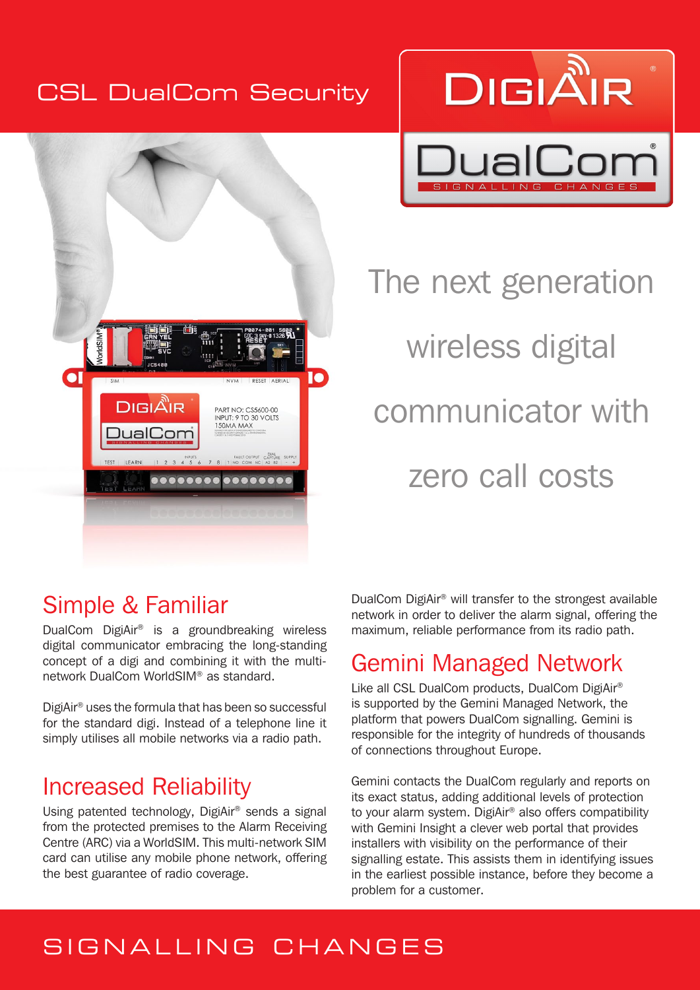#### CSL DualCom Security





The next generation wireless digital communicator with zero call costs

# Simple & Familiar

DualCom DigiAir® is a groundbreaking wireless digital communicator embracing the long-standing concept of a digi and combining it with the multinetwork DualCom WorldSIM® as standard.

DigiAir® uses the formula that has been so successful for the standard digi. Instead of a telephone line it simply utilises all mobile networks via a radio path.

## Increased Reliability

Using patented technology, DigiAir® sends a signal from the protected premises to the Alarm Receiving Centre (ARC) via a WorldSIM. This multi-network SIM card can utilise any mobile phone network, offering the best guarantee of radio coverage.

DualCom DigiAir® will transfer to the strongest available network in order to deliver the alarm signal, offering the maximum, reliable performance from its radio path.

## Gemini Managed Network

Like all CSL DualCom products, DualCom DigiAir® is supported by the Gemini Managed Network, the platform that powers DualCom signalling. Gemini is responsible for the integrity of hundreds of thousands of connections throughout Europe.

Gemini contacts the DualCom regularly and reports on its exact status, adding additional levels of protection to your alarm system. DigiAir® also offers compatibility with Gemini Insight a clever web portal that provides installers with visibility on the performance of their signalling estate. This assists them in identifying issues in the earliest possible instance, before they become a problem for a customer.

# SIGNALLING CHANGES